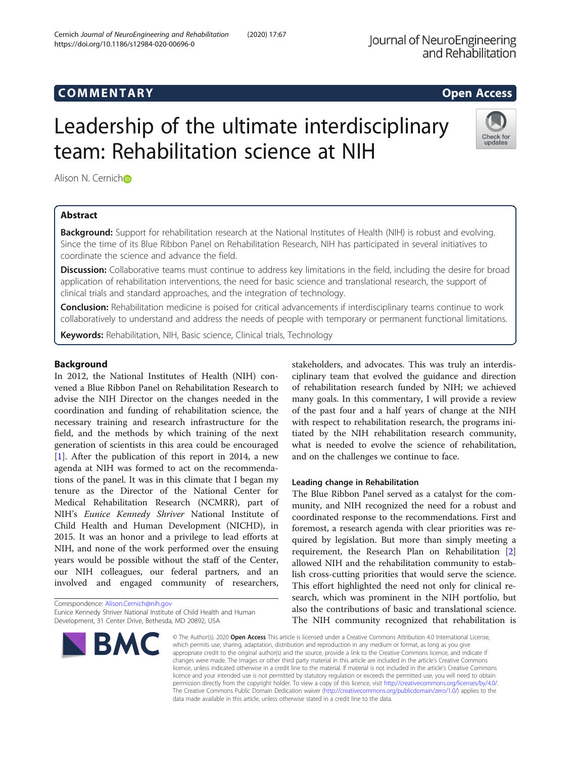# COMM EN TARY Open Access

# Leadership of the ultimate interdisciplinary team: Rehabilitation science at NIH

Alison N. Cernic[h](http://orcid.org/0000-0003-3581-4189)®

## Abstract

Background: Support for rehabilitation research at the National Institutes of Health (NIH) is robust and evolving. Since the time of its Blue Ribbon Panel on Rehabilitation Research, NIH has participated in several initiatives to coordinate the science and advance the field.

Discussion: Collaborative teams must continue to address key limitations in the field, including the desire for broad application of rehabilitation interventions, the need for basic science and translational research, the support of clinical trials and standard approaches, and the integration of technology.

Conclusion: Rehabilitation medicine is poised for critical advancements if interdisciplinary teams continue to work collaboratively to understand and address the needs of people with temporary or permanent functional limitations.

Keywords: Rehabilitation, NIH, Basic science, Clinical trials, Technology

### Background

In 2012, the National Institutes of Health (NIH) convened a Blue Ribbon Panel on Rehabilitation Research to advise the NIH Director on the changes needed in the coordination and funding of rehabilitation science, the necessary training and research infrastructure for the field, and the methods by which training of the next generation of scientists in this area could be encouraged [[1\]](#page-3-0). After the publication of this report in 2014, a new agenda at NIH was formed to act on the recommendations of the panel. It was in this climate that I began my tenure as the Director of the National Center for Medical Rehabilitation Research (NCMRR), part of NIH's Eunice Kennedy Shriver National Institute of Child Health and Human Development (NICHD), in 2015. It was an honor and a privilege to lead efforts at NIH, and none of the work performed over the ensuing years would be possible without the staff of the Center, our NIH colleagues, our federal partners, and an involved and engaged community of researchers,

Correspondence: [Alison.Cernich@nih.gov](mailto:Alison.Cernich@nih.gov) Eunice Kennedy Shriver National Institute of Child Health and Human Development, 31 Center Drive, Bethesda, MD 20892, USA





stakeholders, and advocates. This was truly an interdis-

# Leading change in Rehabilitation

The Blue Ribbon Panel served as a catalyst for the community, and NIH recognized the need for a robust and coordinated response to the recommendations. First and foremost, a research agenda with clear priorities was required by legislation. But more than simply meeting a requirement, the Research Plan on Rehabilitation [\[2](#page-3-0)] allowed NIH and the rehabilitation community to establish cross-cutting priorities that would serve the science. This effort highlighted the need not only for clinical research, which was prominent in the NIH portfolio, but also the contributions of basic and translational science. The NIH community recognized that rehabilitation is

© The Author(s), 2020 **Open Access** This article is licensed under a Creative Commons Attribution 4.0 International License, which permits use, sharing, adaptation, distribution and reproduction in any medium or format, as long as you give appropriate credit to the original author(s) and the source, provide a link to the Creative Commons licence, and indicate if changes were made. The images or other third party material in this article are included in the article's Creative Commons licence, unless indicated otherwise in a credit line to the material. If material is not included in the article's Creative Commons licence and your intended use is not permitted by statutory regulation or exceeds the permitted use, you will need to obtain permission directly from the copyright holder. To view a copy of this licence, visit [http://creativecommons.org/licenses/by/4.0/.](http://creativecommons.org/licenses/by/4.0/) The Creative Commons Public Domain Dedication waiver [\(http://creativecommons.org/publicdomain/zero/1.0/](http://creativecommons.org/publicdomain/zero/1.0/)) applies to the data made available in this article, unless otherwise stated in a credit line to the data.



Check for updates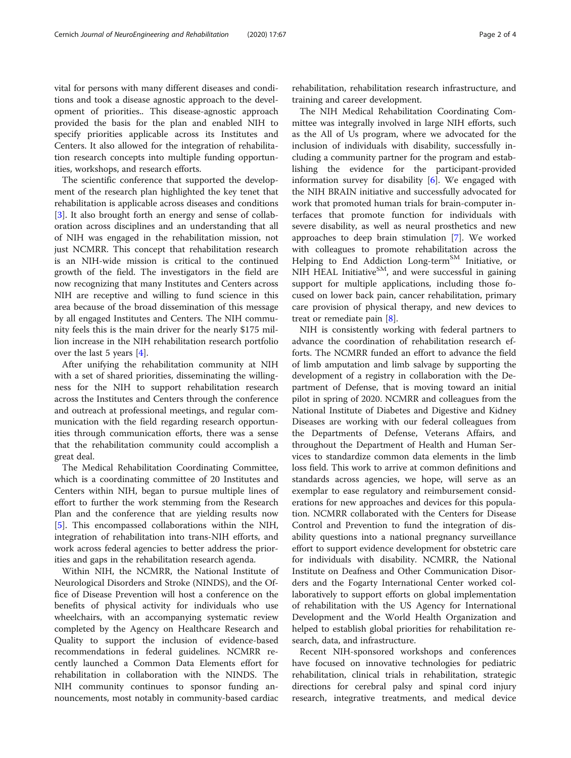vital for persons with many different diseases and conditions and took a disease agnostic approach to the development of priorities.. This disease-agnostic approach provided the basis for the plan and enabled NIH to specify priorities applicable across its Institutes and Centers. It also allowed for the integration of rehabilitation research concepts into multiple funding opportunities, workshops, and research efforts.

The scientific conference that supported the development of the research plan highlighted the key tenet that rehabilitation is applicable across diseases and conditions [[3\]](#page-3-0). It also brought forth an energy and sense of collaboration across disciplines and an understanding that all of NIH was engaged in the rehabilitation mission, not just NCMRR. This concept that rehabilitation research is an NIH-wide mission is critical to the continued growth of the field. The investigators in the field are now recognizing that many Institutes and Centers across NIH are receptive and willing to fund science in this area because of the broad dissemination of this message by all engaged Institutes and Centers. The NIH community feels this is the main driver for the nearly \$175 million increase in the NIH rehabilitation research portfolio over the last 5 years [[4](#page-3-0)].

After unifying the rehabilitation community at NIH with a set of shared priorities, disseminating the willingness for the NIH to support rehabilitation research across the Institutes and Centers through the conference and outreach at professional meetings, and regular communication with the field regarding research opportunities through communication efforts, there was a sense that the rehabilitation community could accomplish a great deal.

The Medical Rehabilitation Coordinating Committee, which is a coordinating committee of 20 Institutes and Centers within NIH, began to pursue multiple lines of effort to further the work stemming from the Research Plan and the conference that are yielding results now [[5\]](#page-3-0). This encompassed collaborations within the NIH, integration of rehabilitation into trans-NIH efforts, and work across federal agencies to better address the priorities and gaps in the rehabilitation research agenda.

Within NIH, the NCMRR, the National Institute of Neurological Disorders and Stroke (NINDS), and the Office of Disease Prevention will host a conference on the benefits of physical activity for individuals who use wheelchairs, with an accompanying systematic review completed by the Agency on Healthcare Research and Quality to support the inclusion of evidence-based recommendations in federal guidelines. NCMRR recently launched a Common Data Elements effort for rehabilitation in collaboration with the NINDS. The NIH community continues to sponsor funding announcements, most notably in community-based cardiac

rehabilitation, rehabilitation research infrastructure, and training and career development.

The NIH Medical Rehabilitation Coordinating Committee was integrally involved in large NIH efforts, such as the All of Us program, where we advocated for the inclusion of individuals with disability, successfully including a community partner for the program and establishing the evidence for the participant-provided information survey for disability [[6\]](#page-3-0). We engaged with the NIH BRAIN initiative and successfully advocated for work that promoted human trials for brain-computer interfaces that promote function for individuals with severe disability, as well as neural prosthetics and new approaches to deep brain stimulation [[7\]](#page-3-0). We worked with colleagues to promote rehabilitation across the Helping to End Addiction Long-term<sup>SM</sup> Initiative, or NIH HEAL Initiative<sup>SM</sup>, and were successful in gaining support for multiple applications, including those focused on lower back pain, cancer rehabilitation, primary care provision of physical therapy, and new devices to treat or remediate pain [\[8](#page-3-0)].

NIH is consistently working with federal partners to advance the coordination of rehabilitation research efforts. The NCMRR funded an effort to advance the field of limb amputation and limb salvage by supporting the development of a registry in collaboration with the Department of Defense, that is moving toward an initial pilot in spring of 2020. NCMRR and colleagues from the National Institute of Diabetes and Digestive and Kidney Diseases are working with our federal colleagues from the Departments of Defense, Veterans Affairs, and throughout the Department of Health and Human Services to standardize common data elements in the limb loss field. This work to arrive at common definitions and standards across agencies, we hope, will serve as an exemplar to ease regulatory and reimbursement considerations for new approaches and devices for this population. NCMRR collaborated with the Centers for Disease Control and Prevention to fund the integration of disability questions into a national pregnancy surveillance effort to support evidence development for obstetric care for individuals with disability. NCMRR, the National Institute on Deafness and Other Communication Disorders and the Fogarty International Center worked collaboratively to support efforts on global implementation of rehabilitation with the US Agency for International Development and the World Health Organization and helped to establish global priorities for rehabilitation research, data, and infrastructure.

Recent NIH-sponsored workshops and conferences have focused on innovative technologies for pediatric rehabilitation, clinical trials in rehabilitation, strategic directions for cerebral palsy and spinal cord injury research, integrative treatments, and medical device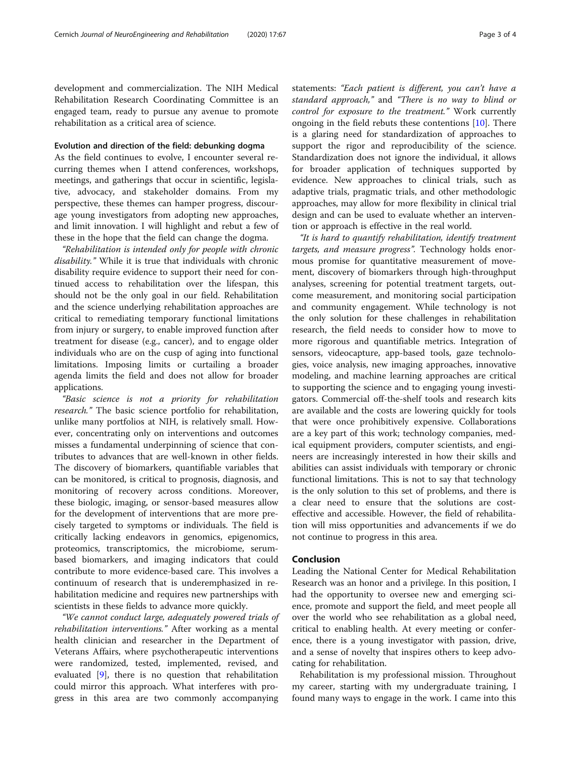development and commercialization. The NIH Medical Rehabilitation Research Coordinating Committee is an engaged team, ready to pursue any avenue to promote rehabilitation as a critical area of science.

#### Evolution and direction of the field: debunking dogma

As the field continues to evolve, I encounter several recurring themes when I attend conferences, workshops, meetings, and gatherings that occur in scientific, legislative, advocacy, and stakeholder domains. From my perspective, these themes can hamper progress, discourage young investigators from adopting new approaches, and limit innovation. I will highlight and rebut a few of these in the hope that the field can change the dogma.

"Rehabilitation is intended only for people with chronic disability." While it is true that individuals with chronic disability require evidence to support their need for continued access to rehabilitation over the lifespan, this should not be the only goal in our field. Rehabilitation and the science underlying rehabilitation approaches are critical to remediating temporary functional limitations from injury or surgery, to enable improved function after treatment for disease (e.g., cancer), and to engage older individuals who are on the cusp of aging into functional limitations. Imposing limits or curtailing a broader agenda limits the field and does not allow for broader applications.

"Basic science is not a priority for rehabilitation research." The basic science portfolio for rehabilitation, unlike many portfolios at NIH, is relatively small. However, concentrating only on interventions and outcomes misses a fundamental underpinning of science that contributes to advances that are well-known in other fields. The discovery of biomarkers, quantifiable variables that can be monitored, is critical to prognosis, diagnosis, and monitoring of recovery across conditions. Moreover, these biologic, imaging, or sensor-based measures allow for the development of interventions that are more precisely targeted to symptoms or individuals. The field is critically lacking endeavors in genomics, epigenomics, proteomics, transcriptomics, the microbiome, serumbased biomarkers, and imaging indicators that could contribute to more evidence-based care. This involves a continuum of research that is underemphasized in rehabilitation medicine and requires new partnerships with scientists in these fields to advance more quickly.

"We cannot conduct large, adequately powered trials of rehabilitation interventions." After working as a mental health clinician and researcher in the Department of Veterans Affairs, where psychotherapeutic interventions were randomized, tested, implemented, revised, and evaluated [[9\]](#page-3-0), there is no question that rehabilitation could mirror this approach. What interferes with progress in this area are two commonly accompanying

statements: "Each patient is different, you can't have a standard approach," and "There is no way to blind or control for exposure to the treatment." Work currently ongoing in the field rebuts these contentions  $[10]$  $[10]$ . There is a glaring need for standardization of approaches to support the rigor and reproducibility of the science. Standardization does not ignore the individual, it allows for broader application of techniques supported by evidence. New approaches to clinical trials, such as adaptive trials, pragmatic trials, and other methodologic approaches, may allow for more flexibility in clinical trial design and can be used to evaluate whether an intervention or approach is effective in the real world.

"It is hard to quantify rehabilitation, identify treatment targets, and measure progress". Technology holds enormous promise for quantitative measurement of movement, discovery of biomarkers through high-throughput analyses, screening for potential treatment targets, outcome measurement, and monitoring social participation and community engagement. While technology is not the only solution for these challenges in rehabilitation research, the field needs to consider how to move to more rigorous and quantifiable metrics. Integration of sensors, videocapture, app-based tools, gaze technologies, voice analysis, new imaging approaches, innovative modeling, and machine learning approaches are critical to supporting the science and to engaging young investigators. Commercial off-the-shelf tools and research kits are available and the costs are lowering quickly for tools that were once prohibitively expensive. Collaborations are a key part of this work; technology companies, medical equipment providers, computer scientists, and engineers are increasingly interested in how their skills and abilities can assist individuals with temporary or chronic functional limitations. This is not to say that technology is the only solution to this set of problems, and there is a clear need to ensure that the solutions are costeffective and accessible. However, the field of rehabilitation will miss opportunities and advancements if we do not continue to progress in this area.

#### Conclusion

Leading the National Center for Medical Rehabilitation Research was an honor and a privilege. In this position, I had the opportunity to oversee new and emerging science, promote and support the field, and meet people all over the world who see rehabilitation as a global need, critical to enabling health. At every meeting or conference, there is a young investigator with passion, drive, and a sense of novelty that inspires others to keep advocating for rehabilitation.

Rehabilitation is my professional mission. Throughout my career, starting with my undergraduate training, I found many ways to engage in the work. I came into this